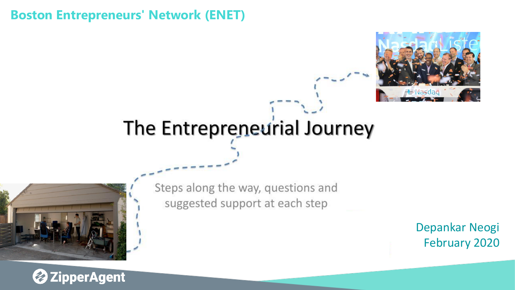#### **Boston Entrepreneurs' Network (ENET)**



# The Entrepreneurial Journey



Steps along the way, questions and suggested support at each step

> Depankar Neogi February 2020

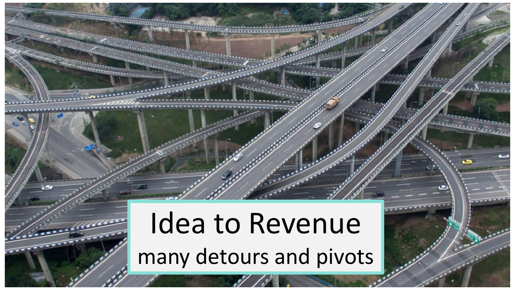# Idea to Revenue many detours and pivots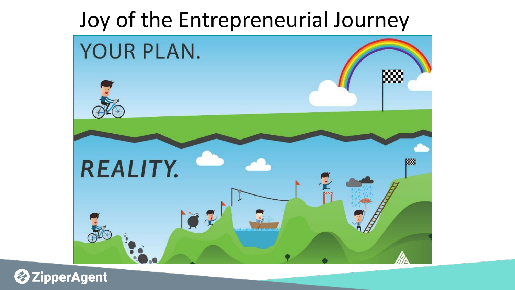## Joy of the Entrepreneurial Journey



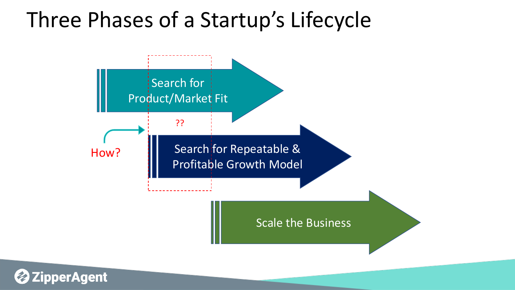# Three Phases of a Startup's Lifecycle

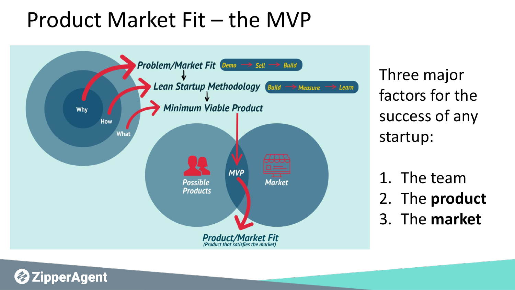# Product Market Fit – the MVP



perAgent

Three major factors for the success of any startup:

1. The team 2. The **product** 3. The **market**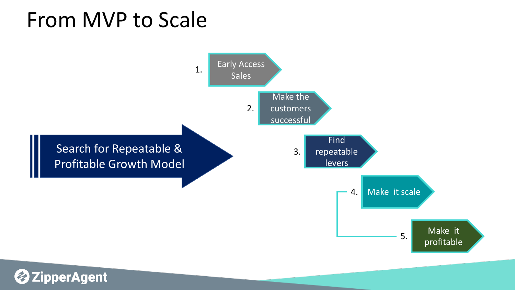# From MVP to Scale

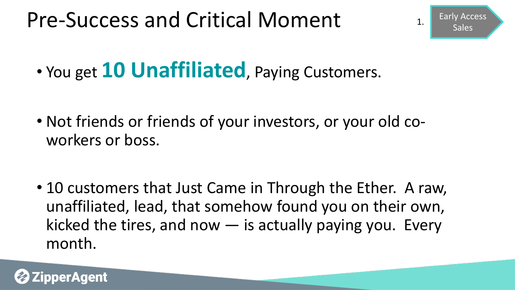# Pre-Success and Critical Moment

Early Access  $\begin{array}{c} \n\text{1.} \\
\text{Sales}\n\end{array}$ 

• You get **10 Unaffiliated**, Paying Customers.

• Not friends or friends of your investors, or your old coworkers or boss.

• 10 customers that Just Came in Through the Ether. A raw, unaffiliated, lead, that somehow found you on their own, kicked the tires, and now  $-$  is actually paying you. Every month.

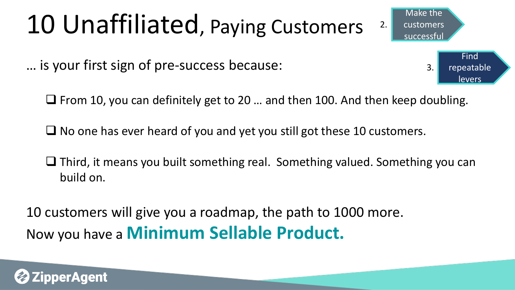# 10 Unaffiliated, Paying Customers

… is your first sign of pre-success because:

❑ From 10, you can definitely get to 20 … and then 100. And then keep doubling.

Make the

customers

3.

Find

repeatable

levers

successful

2.

 $\Box$  No one has ever heard of you and yet you still got these 10 customers.

❑ Third, it means you built something real. Something valued. Something you can build on.

10 customers will give you a roadmap, the path to 1000 more. Now you have a **Minimum Sellable Product.** 

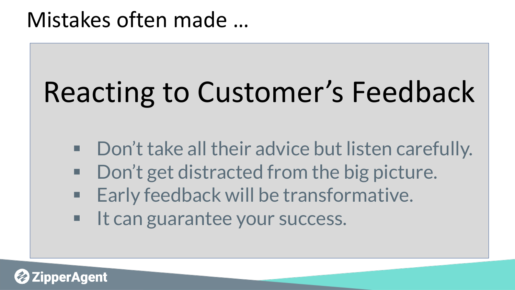# Reacting to Customer's Feedback

- Don't take all their advice but listen carefully.
- Don't get distracted from the big picture.
- Early feedback will be transformative.
- It can guarantee your success.

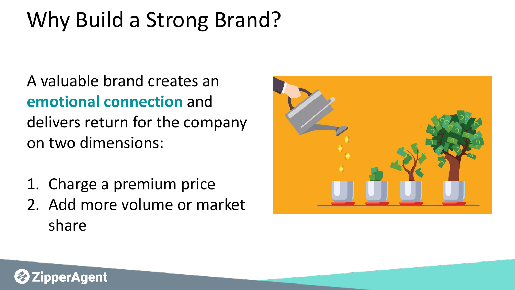# Why Build a Strong Brand?

A valuable brand creates an **emotional connection** and delivers return for the company on two dimensions:

- 1. Charge a premium price
- 2. Add more volume or market share



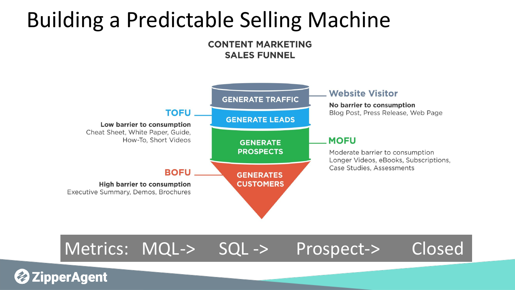# Building a Predictable Selling Machine

#### **CONTENT MARKETING SALES FUNNEL**



#### Metrics: MQL-> SQL -> Prospect-> Closed

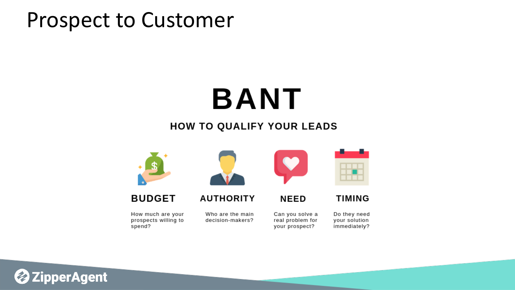### Prospect to Customer

# **BANT**

#### HOW TO QUALIFY YOUR LEADS



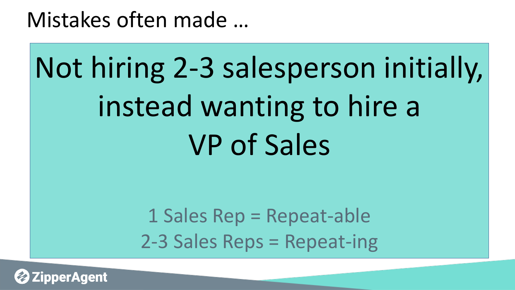# Not hiring 2-3 salesperson initially, instead wanting to hire a VP of Sales

1 Sales Rep = Repeat-able 2-3 Sales Reps = Repeat-ing

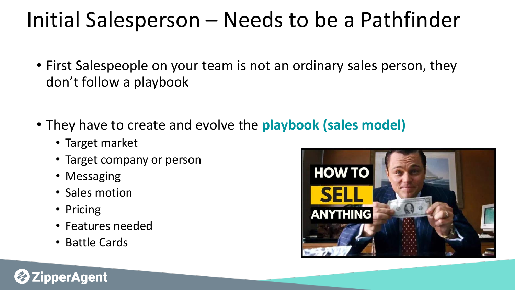# Initial Salesperson – Needs to be a Pathfinder

- First Salespeople on your team is not an ordinary sales person, they don't follow a playbook
- They have to create and evolve the **playbook (sales model)**
	- Target market
	- Target company or person
	- Messaging
	- Sales motion
	- Pricing

perAgent

- Features needed
- Battle Cards

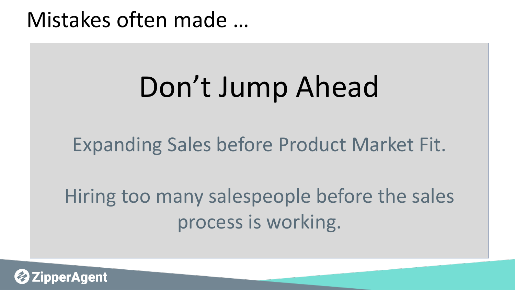# Don't Jump Ahead

### Expanding Sales before Product Market Fit.

Hiring too many salespeople before the sales process is working.

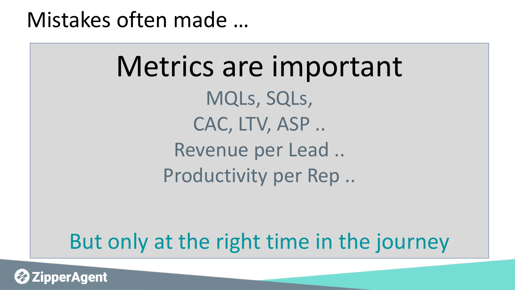Metrics are important MQLs, SQLs, CAC, LTV, ASP .. Revenue per Lead .. Productivity per Rep ..

## But only at the right time in the journey

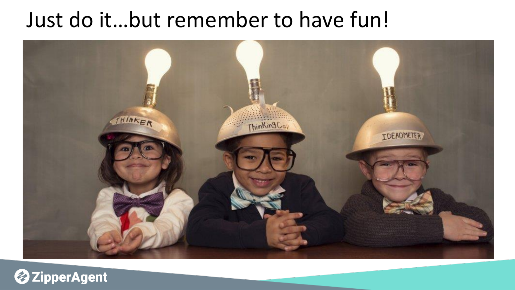## Just do it…but remember to have fun!